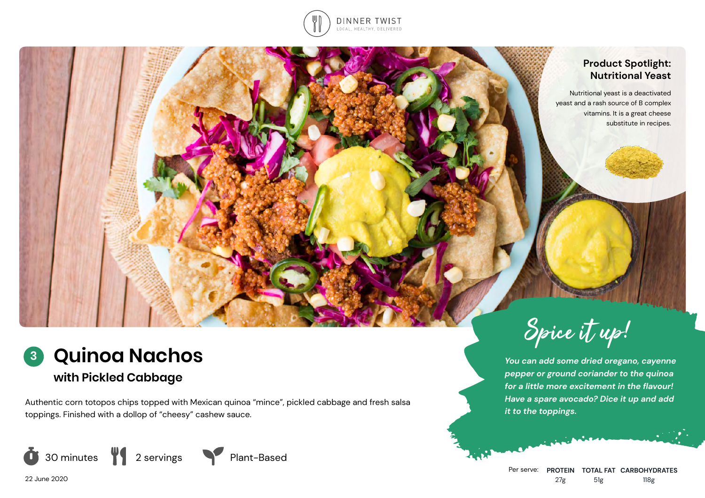

## **Product Spotlight: Nutritional Yeast**

Nutritional yeast is a deactivated yeast and a rash source of B complex vitamins. It is a great cheese substitute in recipes.

## **Quinoa Nachos 3**

# **with Pickled Cabbage**

Authentic corn totopos chips topped with Mexican quinoa "mince", pickled cabbage and fresh salsa toppings. Finished with a dollop of "cheesy" cashew sauce.





*You can add some dried oregano, cayenne pepper or ground coriander to the quinoa for a little more excitement in the flavour! Have a spare avocado? Dice it up and add it to the toppings.*